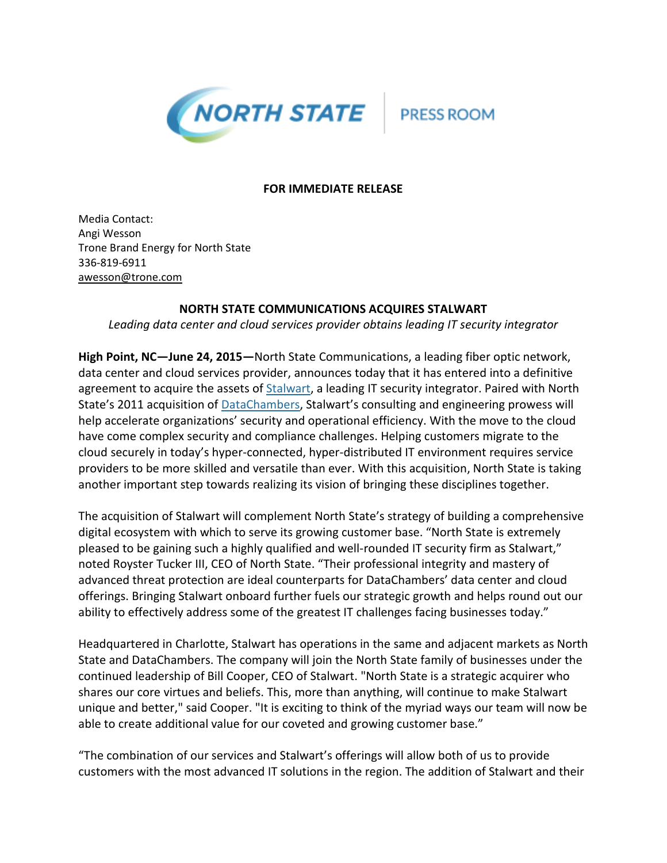

**PRESS ROOM** 

## **FOR IMMEDIATE RELEASE**

Media Contact: Angi Wesson Trone Brand Energy for North State 336-819-6911 [awesson@trone.com](mailto:awesson@trone.com)

## **NORTH STATE COMMUNICATIONS ACQUIRES STALWART**

*Leading data center and cloud services provider obtains leading IT security integrator*

**High Point, NC—June 24, 2015—**North State Communications, a leading fiber optic network, data center and cloud services provider, announces today that it has entered into a definitive agreement to acquire the assets of **Stalwart**, a leading IT security integrator. Paired with North State's 2011 acquisition of **DataChambers**, Stalwart's consulting and engineering prowess will help accelerate organizations' security and operational efficiency. With the move to the cloud have come complex security and compliance challenges. Helping customers migrate to the cloud securely in today's hyper-connected, hyper-distributed IT environment requires service providers to be more skilled and versatile than ever. With this acquisition, North State is taking another important step towards realizing its vision of bringing these disciplines together.

The acquisition of Stalwart will complement North State's strategy of building a comprehensive digital ecosystem with which to serve its growing customer base. "North State is extremely pleased to be gaining such a highly qualified and well-rounded IT security firm as Stalwart," noted Royster Tucker III, CEO of North State. "Their professional integrity and mastery of advanced threat protection are ideal counterparts for DataChambers' data center and cloud offerings. Bringing Stalwart onboard further fuels our strategic growth and helps round out our ability to effectively address some of the greatest IT challenges facing businesses today."

Headquartered in Charlotte, Stalwart has operations in the same and adjacent markets as North State and DataChambers. The company will join the North State family of businesses under the continued leadership of Bill Cooper, CEO of Stalwart. "North State is a strategic acquirer who shares our core virtues and beliefs. This, more than anything, will continue to make Stalwart unique and better," said Cooper. "It is exciting to think of the myriad ways our team will now be able to create additional value for our coveted and growing customer base."

"The combination of our services and Stalwart's offerings will allow both of us to provide customers with the most advanced IT solutions in the region. The addition of Stalwart and their